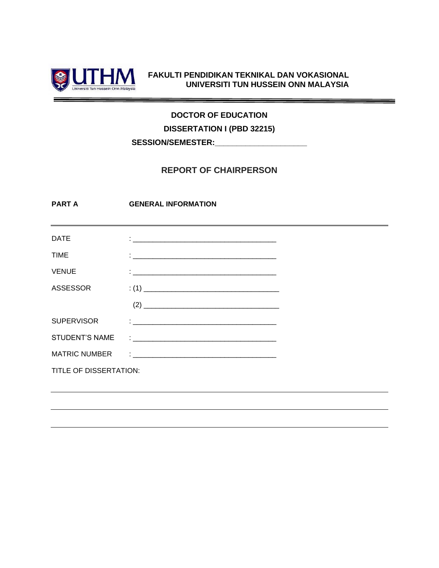

#### **FAKULTI PENDIDIKAN TEKNIKAL DAN VOKASIONAL UNIVERSITI TUN HUSSEIN ONN MALAYSIA**

## **DOCTOR OF EDUCATION**

**DISSERTATION I (PBD 32215)**

**SESSION/SEMESTER:\_\_\_\_\_\_\_\_\_\_\_\_\_\_\_\_\_\_\_\_\_**

### **REPORT OF CHAIRPERSON**

**PART A GENERAL INFORMATION**

| <b>DATE</b>            | <u>.</u><br>1980 - Januar Jawa Barat, masjid aktor ya mwaka wa 1980 alikuwa mwaka wa 1980 alikuwa mwaka wa 1980 alikuwa mw                                                                                                         |  |
|------------------------|------------------------------------------------------------------------------------------------------------------------------------------------------------------------------------------------------------------------------------|--|
| <b>TIME</b>            | $\ddot{\cdot}$ and the contract of the contract of the contract of the contract of the contract of the contract of the contract of the contract of the contract of the contract of the contract of the contract of the contract of |  |
| <b>VENUE</b>           |                                                                                                                                                                                                                                    |  |
| <b>ASSESSOR</b>        |                                                                                                                                                                                                                                    |  |
|                        | $(2) \qquad \qquad \overbrace{\qquad \qquad }$                                                                                                                                                                                     |  |
| <b>SUPERVISOR</b>      |                                                                                                                                                                                                                                    |  |
| STUDENT'S NAME         | <u> 1980 - Andrea Andrews, amerikansk politik (</u>                                                                                                                                                                                |  |
| <b>MATRIC NUMBER</b>   | <u> 1980 - Johann Stoff, deutscher Stoff, der Stoff, der Stoff, der Stoff, der Stoff, der Stoff, der Stoff, der S</u>                                                                                                              |  |
| TITLE OF DISSERTATION: |                                                                                                                                                                                                                                    |  |
|                        |                                                                                                                                                                                                                                    |  |
|                        |                                                                                                                                                                                                                                    |  |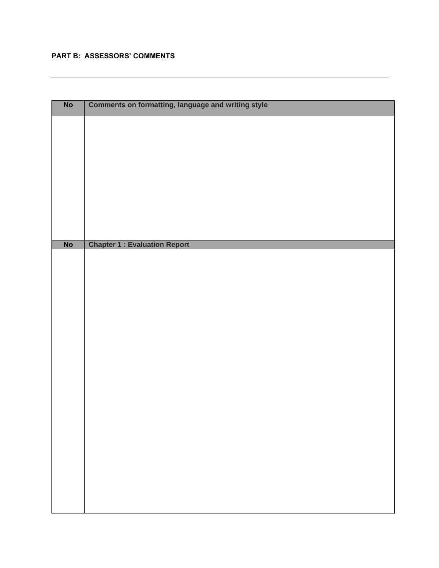#### **PART B: ASSESSORS' COMMENTS**

| $\overline{\mathsf{No}}$ | <b>Comments on formatting, language and writing style</b> |  |  |
|--------------------------|-----------------------------------------------------------|--|--|
|                          |                                                           |  |  |
|                          |                                                           |  |  |
|                          |                                                           |  |  |
|                          |                                                           |  |  |
|                          |                                                           |  |  |
|                          |                                                           |  |  |
|                          |                                                           |  |  |
|                          |                                                           |  |  |
|                          |                                                           |  |  |
|                          |                                                           |  |  |
|                          |                                                           |  |  |
|                          |                                                           |  |  |
|                          |                                                           |  |  |
| <b>No</b>                | <b>Chapter 1 : Evaluation Report</b>                      |  |  |
|                          |                                                           |  |  |
|                          |                                                           |  |  |
|                          |                                                           |  |  |
|                          |                                                           |  |  |
|                          |                                                           |  |  |
|                          |                                                           |  |  |
|                          |                                                           |  |  |
|                          |                                                           |  |  |
|                          |                                                           |  |  |
|                          |                                                           |  |  |
|                          |                                                           |  |  |
|                          |                                                           |  |  |
|                          |                                                           |  |  |
|                          |                                                           |  |  |
|                          |                                                           |  |  |
|                          |                                                           |  |  |
|                          |                                                           |  |  |
|                          |                                                           |  |  |
|                          |                                                           |  |  |
|                          |                                                           |  |  |
|                          |                                                           |  |  |
|                          |                                                           |  |  |
|                          |                                                           |  |  |
|                          |                                                           |  |  |
|                          |                                                           |  |  |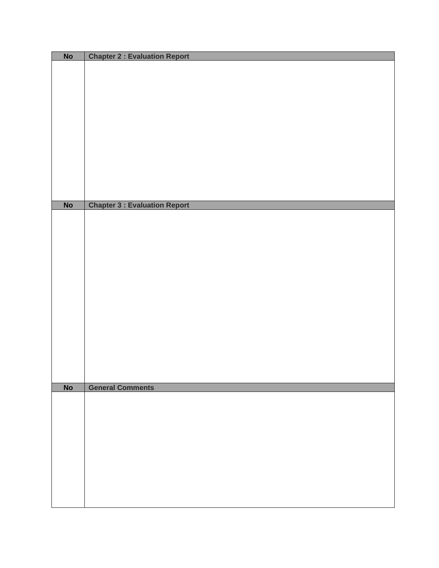| <b>No</b> | <b>Chapter 2 : Evaluation Report</b> |  |  |
|-----------|--------------------------------------|--|--|
|           |                                      |  |  |
|           |                                      |  |  |
|           |                                      |  |  |
|           |                                      |  |  |
|           |                                      |  |  |
|           |                                      |  |  |
|           |                                      |  |  |
|           |                                      |  |  |
|           |                                      |  |  |
|           |                                      |  |  |
|           |                                      |  |  |
|           |                                      |  |  |
|           |                                      |  |  |
|           |                                      |  |  |
| <b>No</b> | <b>Chapter 3 : Evaluation Report</b> |  |  |
|           |                                      |  |  |
|           |                                      |  |  |
|           |                                      |  |  |
|           |                                      |  |  |
|           |                                      |  |  |
|           |                                      |  |  |
|           |                                      |  |  |
|           |                                      |  |  |
|           |                                      |  |  |
|           |                                      |  |  |
|           |                                      |  |  |
|           |                                      |  |  |
|           |                                      |  |  |
|           |                                      |  |  |
|           |                                      |  |  |
|           |                                      |  |  |
|           |                                      |  |  |
| No        | <b>General Comments</b>              |  |  |
|           |                                      |  |  |
|           |                                      |  |  |
|           |                                      |  |  |
|           |                                      |  |  |
|           |                                      |  |  |
|           |                                      |  |  |
|           |                                      |  |  |
|           |                                      |  |  |
|           |                                      |  |  |
|           |                                      |  |  |
|           |                                      |  |  |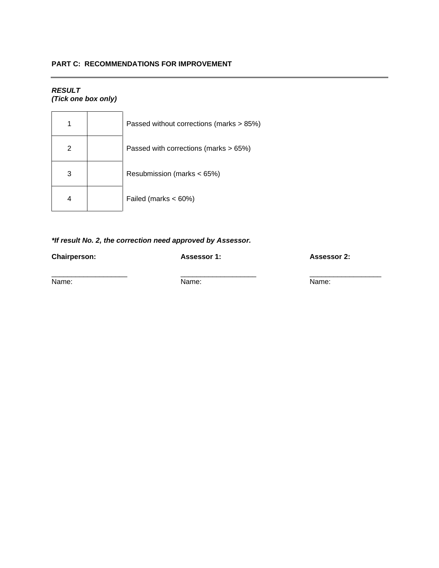#### **PART C: RECOMMENDATIONS FOR IMPROVEMENT**

# *RESULT*

*(Tick one box only)*

| 1 | Passed without corrections (marks > 85%) |
|---|------------------------------------------|
| 2 | Passed with corrections (marks $> 65\%)$ |
| 3 | Resubmission (marks < 65%)               |
| 4 | Failed (marks < 60%)                     |

#### *\*If result No. 2, the correction need approved by Assessor.*

**Chairperson: Assessor 1: Assessor 2:**

\_\_\_\_\_\_\_\_\_\_\_\_\_\_\_\_\_\_\_ \_\_\_\_\_\_\_\_\_\_\_\_\_\_\_\_\_\_\_ \_\_\_\_\_\_\_\_\_\_\_\_\_\_\_\_\_\_ Name: Name: Name: